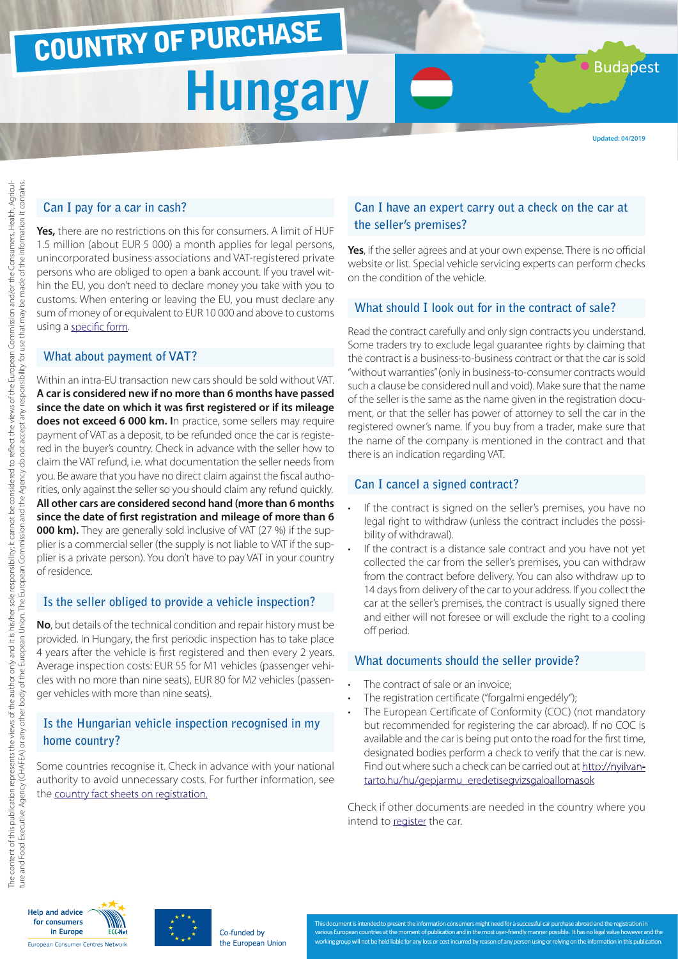### COUNTRY OF PURCHASE

## **Hungary**

**Budapest** 

### **Can I pay for a car in cash?**

**Yes,** there are no restrictions on this for consumers. A limit of HUF 1.5 million (about EUR 5 000) a month applies for legal persons, unincorporated business associations and VAT-registered private persons who are obliged to open a bank account. If you travel within the EU, you don't need to declare money you take with you to customs. When entering or leaving the EU, you must declare any sum of money of or equivalent to EUR 10 000 and above to customs using a [specific form](http://ec.europa.eu/taxation_customs/resources/documents/customs/customs_controls/cash_controls/declaration_forms/declaration_form_hu_en.pdf).

### **What about payment of VAT?**

Within an intra-EU transaction new cars should be sold without VAT. **A car is considered new if no more than 6 months have passed since the date on which it was first registered or if its mileage does not exceed 6 000 km. I**n practice, some sellers may require payment of VAT as a deposit, to be refunded once the car is registered in the buyer's country. Check in advance with the seller how to claim the VAT refund, i.e. what documentation the seller needs from you. Be aware that you have no direct claim against the fiscal authorities, only against the seller so you should claim any refund quickly. **All other cars are considered second hand (more than 6 months since the date of first registration and mileage of more than 6 000 km).** They are generally sold inclusive of VAT (27 %) if the supplier is a commercial seller (the supply is not liable to VAT if the supplier is a private person). You don't have to pay VAT in your country of residence.

### **Is the seller obliged to provide a vehicle inspection?**

**No**, but details of the technical condition and repair history must be provided. In Hungary, the first periodic inspection has to take place 4 years after the vehicle is first registered and then every 2 years. Average inspection costs: EUR 55 for M1 vehicles (passenger vehicles with no more than nine seats), EUR 80 for M2 vehicles (passenger vehicles with more than nine seats).

### **Is the Hungarian vehicle inspection recognised in my home country?**

Some countries recognise it. Check in advance with your national authority to avoid unnecessary costs. For further information, see the [country fact sheets on registration.](http://www.europe-consommateurs.eu/en/consumer-topics/on-the-road/buying-a-car/cross-border-car-purchase-and-registration/)

### **Can I have an expert carry out a check on the car at the seller's premises?**

**Yes**, if the seller agrees and at your own expense. There is no official website or list. Special vehicle servicing experts can perform checks on the condition of the vehicle.

### **What should I look out for in the contract of sale?**

Read the contract carefully and only sign contracts you understand. Some traders try to exclude legal guarantee rights by claiming that the contract is a business-to-business contract or that the car is sold "without warranties" (only in business-to-consumer contracts would such a clause be considered null and void). Make sure that the name of the seller is the same as the name given in the registration document, or that the seller has power of attorney to sell the car in the registered owner's name. If you buy from a trader, make sure that the name of the company is mentioned in the contract and that there is an indication regarding VAT.

### **Can I cancel a signed contract?**

- If the contract is signed on the seller's premises, you have no legal right to withdraw (unless the contract includes the possibility of withdrawal).
- If the contract is a distance sale contract and you have not yet collected the car from the seller's premises, you can withdraw from the contract before delivery. You can also withdraw up to 14 days from delivery of the car to your address. If you collect the car at the seller's premises, the contract is usually signed there and either will not foresee or will exclude the right to a cooling off period.

#### **What documents should the seller provide?**

- The contract of sale or an invoice;
- The registration certificate ("forgalmi engedély");
- The European Certificate of Conformity (COC) (not mandatory but recommended for registering the car abroad). If no COC is available and the car is being put onto the road for the first time, designated bodies perform a check to verify that the car is new. Find out where such a check can be carried out at [http://nyilvan](http://nyilvantarto.hu/hu/gepjarmu_eredetisegvizsgaloallomasok)[tarto.hu/hu/gepjarmu\\_eredetisegvizsgaloallomasok](http://nyilvantarto.hu/hu/gepjarmu_eredetisegvizsgaloallomasok)

Check if other documents are needed in the country where you intend to [register](http://www.europe-consommateurs.eu/en/consumer-topics/on-the-road/buying-a-car/cross-border-car-purchase-and-registration/) the car.